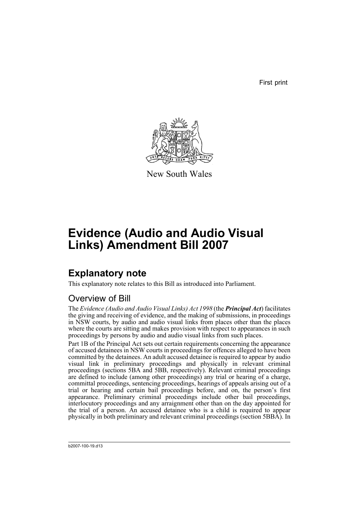First print



New South Wales

# **Evidence (Audio and Audio Visual Links) Amendment Bill 2007**

## **Explanatory note**

This explanatory note relates to this Bill as introduced into Parliament.

## Overview of Bill

The *Evidence (Audio and Audio Visual Links) Act 1998* (the *Principal Act*) facilitates the giving and receiving of evidence, and the making of submissions, in proceedings in NSW courts, by audio and audio visual links from places other than the places where the courts are sitting and makes provision with respect to appearances in such proceedings by persons by audio and audio visual links from such places.

Part 1B of the Principal Act sets out certain requirements concerning the appearance of accused detainees in NSW courts in proceedings for offences alleged to have been committed by the detainees. An adult accused detainee is required to appear by audio visual link in preliminary proceedings and physically in relevant criminal proceedings (sections 5BA and 5BB, respectively). Relevant criminal proceedings are defined to include (among other proceedings) any trial or hearing of a charge, committal proceedings, sentencing proceedings, hearings of appeals arising out of a trial or hearing and certain bail proceedings before, and on, the person's first appearance. Preliminary criminal proceedings include other bail proceedings, interlocutory proceedings and any arraignment other than on the day appointed for the trial of a person. An accused detainee who is a child is required to appear physically in both preliminary and relevant criminal proceedings (section 5BBA). In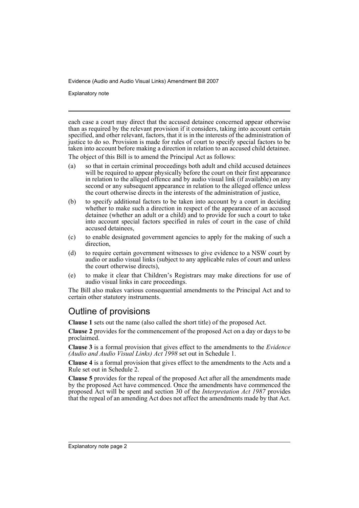Explanatory note

each case a court may direct that the accused detainee concerned appear otherwise than as required by the relevant provision if it considers, taking into account certain specified, and other relevant, factors, that it is in the interests of the administration of justice to do so. Provision is made for rules of court to specify special factors to be taken into account before making a direction in relation to an accused child detainee.

The object of this Bill is to amend the Principal Act as follows:

- (a) so that in certain criminal proceedings both adult and child accused detainees will be required to appear physically before the court on their first appearance in relation to the alleged offence and by audio visual link (if available) on any second or any subsequent appearance in relation to the alleged offence unless the court otherwise directs in the interests of the administration of justice,
- (b) to specify additional factors to be taken into account by a court in deciding whether to make such a direction in respect of the appearance of an accused detainee (whether an adult or a child) and to provide for such a court to take into account special factors specified in rules of court in the case of child accused detainees,
- (c) to enable designated government agencies to apply for the making of such a direction,
- (d) to require certain government witnesses to give evidence to a NSW court by audio or audio visual links (subject to any applicable rules of court and unless the court otherwise directs),
- (e) to make it clear that Children's Registrars may make directions for use of audio visual links in care proceedings.

The Bill also makes various consequential amendments to the Principal Act and to certain other statutory instruments.

### Outline of provisions

**Clause 1** sets out the name (also called the short title) of the proposed Act.

**Clause 2** provides for the commencement of the proposed Act on a day or days to be proclaimed.

**Clause 3** is a formal provision that gives effect to the amendments to the *Evidence (Audio and Audio Visual Links) Act 1998* set out in Schedule 1.

**Clause 4** is a formal provision that gives effect to the amendments to the Acts and a Rule set out in Schedule 2.

**Clause 5** provides for the repeal of the proposed Act after all the amendments made by the proposed Act have commenced. Once the amendments have commenced the proposed Act will be spent and section 30 of the *Interpretation Act 1987* provides that the repeal of an amending Act does not affect the amendments made by that Act.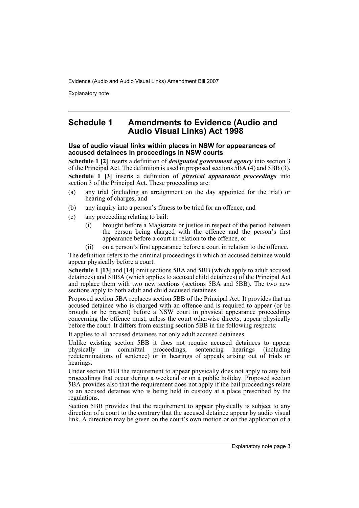Explanatory note

### **Schedule 1 Amendments to Evidence (Audio and Audio Visual Links) Act 1998**

### **Use of audio visual links within places in NSW for appearances of accused detainees in proceedings in NSW courts**

**Schedule 1 [2]** inserts a definition of *designated government agency* into section 3 of the Principal Act. The definition is used in proposed sections 5BA (4) and 5BB (3). **Schedule 1 [3]** inserts a definition of *physical appearance proceedings* into section 3 of the Principal Act. These proceedings are:

- (a) any trial (including an arraignment on the day appointed for the trial) or hearing of charges, and
- (b) any inquiry into a person's fitness to be tried for an offence, and
- (c) any proceeding relating to bail:
	- (i) brought before a Magistrate or justice in respect of the period between the person being charged with the offence and the person's first appearance before a court in relation to the offence, or
	- (ii) on a person's first appearance before a court in relation to the offence.

The definition refers to the criminal proceedings in which an accused detainee would appear physically before a court.

**Schedule 1 [13]** and **[14]** omit sections 5BA and 5BB (which apply to adult accused detainees) and 5BBA (which applies to accused child detainees) of the Principal Act and replace them with two new sections (sections 5BA and 5BB). The two new sections apply to both adult and child accused detainees.

Proposed section 5BA replaces section 5BB of the Principal Act. It provides that an accused detainee who is charged with an offence and is required to appear (or be brought or be present) before a NSW court in physical appearance proceedings concerning the offence must, unless the court otherwise directs, appear physically before the court. It differs from existing section 5BB in the following respects:

It applies to all accused detainees not only adult accused detainees.

Unlike existing section 5BB it does not require accused detainees to appear physically in committal proceedings, sentencing hearings (including committal proceedings, sentencing hearings (including redeterminations of sentence) or in hearings of appeals arising out of trials or hearings.

Under section 5BB the requirement to appear physically does not apply to any bail proceedings that occur during a weekend or on a public holiday. Proposed section 5BA provides also that the requirement does not apply if the bail proceedings relate to an accused detainee who is being held in custody at a place prescribed by the regulations.

Section 5BB provides that the requirement to appear physically is subject to any direction of a court to the contrary that the accused detainee appear by audio visual link. A direction may be given on the court's own motion or on the application of a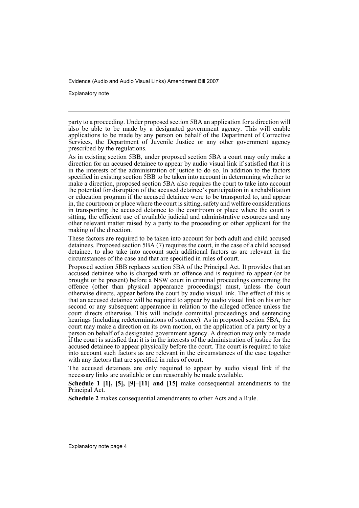Explanatory note

party to a proceeding. Under proposed section 5BA an application for a direction will also be able to be made by a designated government agency. This will enable applications to be made by any person on behalf of the Department of Corrective Services, the Department of Juvenile Justice or any other government agency prescribed by the regulations.

As in existing section 5BB, under proposed section 5BA a court may only make a direction for an accused detainee to appear by audio visual link if satisfied that it is in the interests of the administration of justice to do so. In addition to the factors specified in existing section 5BB to be taken into account in determining whether to make a direction, proposed section 5BA also requires the court to take into account the potential for disruption of the accused detainee's participation in a rehabilitation or education program if the accused detainee were to be transported to, and appear in, the courtroom or place where the court is sitting, safety and welfare considerations in transporting the accused detainee to the courtroom or place where the court is sitting, the efficient use of available judicial and administrative resources and any other relevant matter raised by a party to the proceeding or other applicant for the making of the direction.

These factors are required to be taken into account for both adult and child accused detainees. Proposed section 5BA (7) requires the court, in the case of a child accused detainee, to also take into account such additional factors as are relevant in the circumstances of the case and that are specified in rules of court.

Proposed section 5BB replaces section 5BA of the Principal Act. It provides that an accused detainee who is charged with an offence and is required to appear (or be brought or be present) before a NSW court in criminal proceedings concerning the offence (other than physical appearance proceedings) must, unless the court otherwise directs, appear before the court by audio visual link. The effect of this is that an accused detainee will be required to appear by audio visual link on his or her second or any subsequent appearance in relation to the alleged offence unless the court directs otherwise. This will include committal proceedings and sentencing hearings (including redeterminations of sentence). As in proposed section 5BA, the court may make a direction on its own motion, on the application of a party or by a person on behalf of a designated government agency. A direction may only be made if the court is satisfied that it is in the interests of the administration of justice for the accused detainee to appear physically before the court. The court is required to take into account such factors as are relevant in the circumstances of the case together with any factors that are specified in rules of court.

The accused detainees are only required to appear by audio visual link if the necessary links are available or can reasonably be made available.

**Schedule 1 [1], [5], [9]–[11] and [15]** make consequential amendments to the Principal Act.

**Schedule 2** makes consequential amendments to other Acts and a Rule.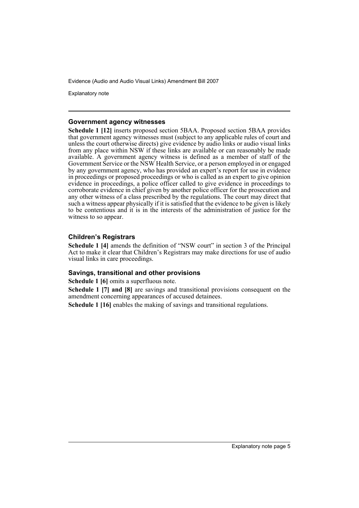Explanatory note

#### **Government agency witnesses**

**Schedule 1 [12]** inserts proposed section 5BAA. Proposed section 5BAA provides that government agency witnesses must (subject to any applicable rules of court and unless the court otherwise directs) give evidence by audio links or audio visual links from any place within NSW if these links are available or can reasonably be made available. A government agency witness is defined as a member of staff of the Government Service or the NSW Health Service, or a person employed in or engaged by any government agency, who has provided an expert's report for use in evidence in proceedings or proposed proceedings or who is called as an expert to give opinion evidence in proceedings, a police officer called to give evidence in proceedings to corroborate evidence in chief given by another police officer for the prosecution and any other witness of a class prescribed by the regulations. The court may direct that such a witness appear physically if it is satisfied that the evidence to be given is likely to be contentious and it is in the interests of the administration of justice for the witness to so appear.

### **Children's Registrars**

**Schedule 1 [4]** amends the definition of "NSW court" in section 3 of the Principal Act to make it clear that Children's Registrars may make directions for use of audio visual links in care proceedings.

### **Savings, transitional and other provisions**

**Schedule 1 [6]** omits a superfluous note.

**Schedule 1 [7] and [8]** are savings and transitional provisions consequent on the amendment concerning appearances of accused detainees.

**Schedule 1 [16]** enables the making of savings and transitional regulations.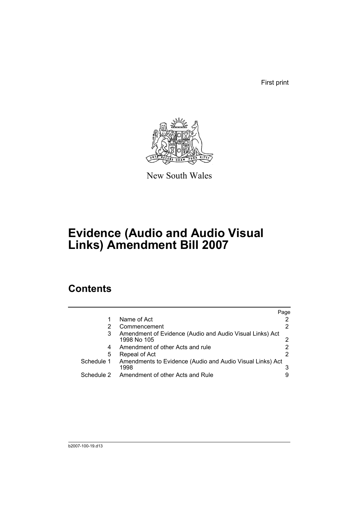First print



New South Wales

# **Evidence (Audio and Audio Visual Links) Amendment Bill 2007**

## **Contents**

|            |                                                                         | Page |
|------------|-------------------------------------------------------------------------|------|
|            | Name of Act                                                             |      |
|            | Commencement                                                            |      |
| 3          | Amendment of Evidence (Audio and Audio Visual Links) Act<br>1998 No 105 |      |
| 4          | Amendment of other Acts and rule                                        |      |
| 5          | Repeal of Act                                                           |      |
| Schedule 1 | Amendments to Evidence (Audio and Audio Visual Links) Act<br>1998       |      |
| Schedule 2 | Amendment of other Acts and Rule                                        |      |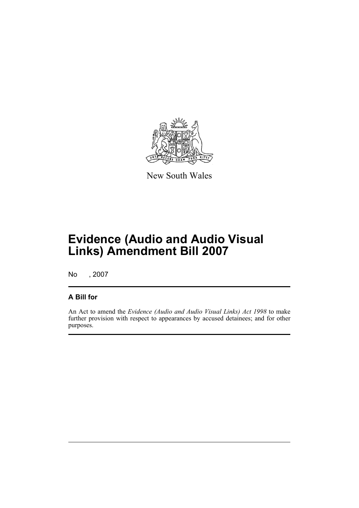

New South Wales

## **Evidence (Audio and Audio Visual Links) Amendment Bill 2007**

No , 2007

### **A Bill for**

An Act to amend the *Evidence (Audio and Audio Visual Links) Act 1998* to make further provision with respect to appearances by accused detainees; and for other purposes.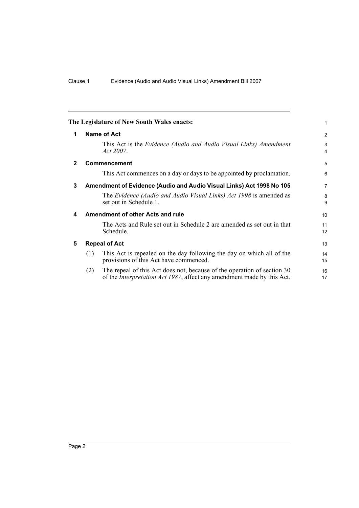<span id="page-9-4"></span><span id="page-9-3"></span><span id="page-9-2"></span><span id="page-9-1"></span><span id="page-9-0"></span>

|              | The Legislature of New South Wales enacts:                                                                                                                       | 1                            |  |  |
|--------------|------------------------------------------------------------------------------------------------------------------------------------------------------------------|------------------------------|--|--|
| 1            | Name of Act                                                                                                                                                      | 2                            |  |  |
|              | This Act is the <i>Evidence (Audio and Audio Visual Links) Amendment</i><br><i>Act</i> 2007.                                                                     | 3<br>$\overline{\mathbf{4}}$ |  |  |
| $\mathbf{2}$ | <b>Commencement</b>                                                                                                                                              | 5                            |  |  |
|              | This Act commences on a day or days to be appointed by proclamation.                                                                                             | 6                            |  |  |
| 3            | Amendment of Evidence (Audio and Audio Visual Links) Act 1998 No 105                                                                                             |                              |  |  |
|              | The Evidence (Audio and Audio Visual Links) Act 1998 is amended as<br>set out in Schedule 1.                                                                     | 8<br>9                       |  |  |
| 4            | Amendment of other Acts and rule                                                                                                                                 |                              |  |  |
|              | The Acts and Rule set out in Schedule 2 are amended as set out in that<br>Schedule.                                                                              | 11<br>12                     |  |  |
| 5            | <b>Repeal of Act</b>                                                                                                                                             |                              |  |  |
|              | This Act is repealed on the day following the day on which all of the<br>(1)<br>provisions of this Act have commenced.                                           | 14<br>15                     |  |  |
|              | The repeal of this Act does not, because of the operation of section 30<br>(2)<br>of the <i>Interpretation Act 1987</i> , affect any amendment made by this Act. | 16<br>17                     |  |  |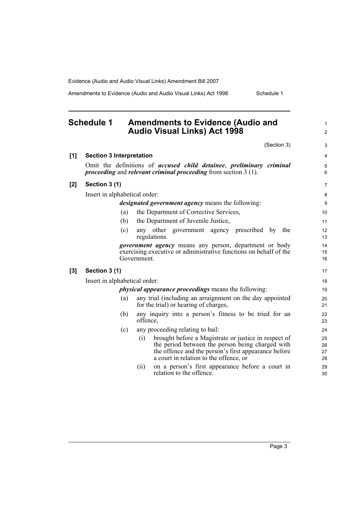Amendments to Evidence (Audio and Audio Visual Links) Act 1998 Schedule 1

### <span id="page-10-0"></span>**Schedule 1 Amendments to Evidence (Audio and Audio Visual Links) Act 1998**

(Section 3)

1 2

| [1]   | <b>Section 3 Interpretation</b>                             |                                                                                                                                                                                                                   | 4                    |  |  |
|-------|-------------------------------------------------------------|-------------------------------------------------------------------------------------------------------------------------------------------------------------------------------------------------------------------|----------------------|--|--|
|       |                                                             | Omit the definitions of accused child detainee, preliminary criminal<br><i>proceeding</i> and <i>relevant criminal proceeding</i> from section $3(1)$ .                                                           | 5<br>6               |  |  |
| $[2]$ | Section 3 (1)                                               |                                                                                                                                                                                                                   |                      |  |  |
|       | Insert in alphabetical order:                               |                                                                                                                                                                                                                   | 8                    |  |  |
|       |                                                             | <i>designated government agency</i> means the following:                                                                                                                                                          | 9                    |  |  |
|       | (a)                                                         | the Department of Corrective Services,                                                                                                                                                                            | 10                   |  |  |
|       | (b)                                                         | the Department of Juvenile Justice,                                                                                                                                                                               | 11                   |  |  |
|       | (c)                                                         | any other government agency prescribed by<br>the<br>regulations.                                                                                                                                                  | 12<br>13             |  |  |
|       |                                                             | government agency means any person, department or body<br>exercising executive or administrative functions on behalf of the<br>Government.                                                                        | 14<br>15<br>16       |  |  |
| $[3]$ | Section 3 (1)                                               |                                                                                                                                                                                                                   | 17                   |  |  |
|       | Insert in alphabetical order:                               |                                                                                                                                                                                                                   | 18                   |  |  |
|       | <i>physical appearance proceedings</i> means the following: |                                                                                                                                                                                                                   |                      |  |  |
|       | (a)                                                         | any trial (including an arraignment on the day appointed<br>for the trial) or hearing of charges,                                                                                                                 | 20<br>21             |  |  |
|       | (b)                                                         | any inquiry into a person's fitness to be tried for an<br>offence,                                                                                                                                                | 22<br>23             |  |  |
|       | (c)                                                         | any proceeding relating to bail:                                                                                                                                                                                  | 24                   |  |  |
|       |                                                             | brought before a Magistrate or justice in respect of<br>(i)<br>the period between the person being charged with<br>the offence and the person's first appearance before<br>a court in relation to the offence, or | 25<br>26<br>27<br>28 |  |  |
|       |                                                             | on a person's first appearance before a court in<br>(i)<br>relation to the offence.                                                                                                                               | 29<br>30             |  |  |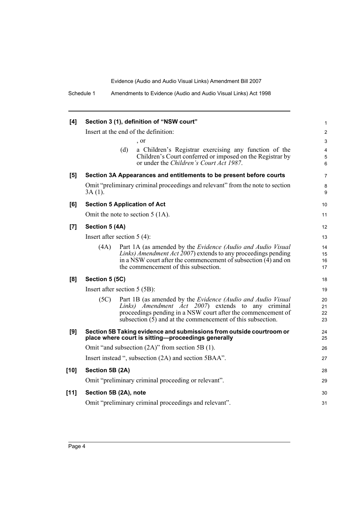| [4]    | Section 3 (1), definition of "NSW court"              |                                                                                                                                                                                                                                                            |                      |  |
|--------|-------------------------------------------------------|------------------------------------------------------------------------------------------------------------------------------------------------------------------------------------------------------------------------------------------------------------|----------------------|--|
|        | Insert at the end of the definition:                  |                                                                                                                                                                                                                                                            |                      |  |
|        |                                                       | , or                                                                                                                                                                                                                                                       | 3                    |  |
|        |                                                       | (d)<br>a Children's Registrar exercising any function of the<br>Children's Court conferred or imposed on the Registrar by<br>or under the Children's Court Act 1987.                                                                                       | 4<br>5<br>6          |  |
| [5]    |                                                       | Section 3A Appearances and entitlements to be present before courts                                                                                                                                                                                        | 7                    |  |
|        | 3A (1).                                               | Omit "preliminary criminal proceedings and relevant" from the note to section                                                                                                                                                                              | 8<br>9               |  |
| [6]    |                                                       | <b>Section 5 Application of Act</b>                                                                                                                                                                                                                        | 10                   |  |
|        | Omit the note to section $5(1A)$ .                    |                                                                                                                                                                                                                                                            |                      |  |
| [7]    | Section 5 (4A)                                        |                                                                                                                                                                                                                                                            |                      |  |
|        |                                                       | Insert after section $5(4)$ :                                                                                                                                                                                                                              | 13                   |  |
|        | (4A)                                                  | Part 1A (as amended by the Evidence (Audio and Audio Visual<br>Links) Amendment Act 2007) extends to any proceedings pending<br>in a NSW court after the commencement of subsection $(4)$ and on<br>the commencement of this subsection.                   | 14<br>15<br>16<br>17 |  |
| [8]    | Section 5 (5C)                                        |                                                                                                                                                                                                                                                            | 18                   |  |
|        | Insert after section 5 (5B):                          |                                                                                                                                                                                                                                                            |                      |  |
|        | (5C)                                                  | Part 1B (as amended by the <i>Evidence (Audio and Audio Visual</i> )<br>Links) Amendment Act 2007) extends to any criminal<br>proceedings pending in a NSW court after the commencement of<br>subsection $(5)$ and at the commencement of this subsection. | 20<br>21<br>22<br>23 |  |
| [9]    |                                                       | Section 5B Taking evidence and submissions from outside courtroom or<br>place where court is sitting-proceedings generally                                                                                                                                 | 24<br>25             |  |
|        | Omit "and subsection $(2A)$ " from section 5B $(1)$ . |                                                                                                                                                                                                                                                            |                      |  |
|        | Insert instead ", subsection (2A) and section 5BAA".  |                                                                                                                                                                                                                                                            |                      |  |
| $[10]$ | Section 5B (2A)                                       |                                                                                                                                                                                                                                                            |                      |  |
|        | Omit "preliminary criminal proceeding or relevant".   |                                                                                                                                                                                                                                                            |                      |  |
| $[11]$ |                                                       | Section 5B (2A), note                                                                                                                                                                                                                                      | 30                   |  |
|        |                                                       | Omit "preliminary criminal proceedings and relevant".                                                                                                                                                                                                      | 31                   |  |
|        |                                                       |                                                                                                                                                                                                                                                            |                      |  |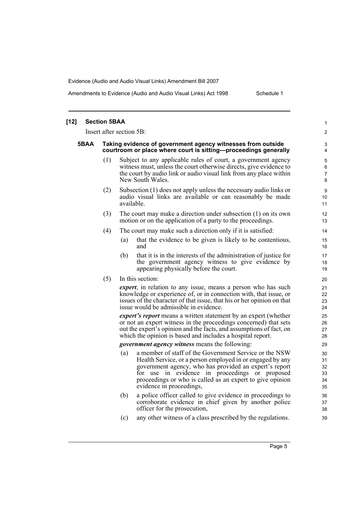Amendments to Evidence (Audio and Audio Visual Links) Act 1998 Schedule 1

| $[12]$ |      | <b>Section 5BAA</b>                                                                                                            |     |                                                                                                                                                                                                                                                                                                                          | $\mathbf{1}$                     |
|--------|------|--------------------------------------------------------------------------------------------------------------------------------|-----|--------------------------------------------------------------------------------------------------------------------------------------------------------------------------------------------------------------------------------------------------------------------------------------------------------------------------|----------------------------------|
|        |      | Insert after section 5B:                                                                                                       |     |                                                                                                                                                                                                                                                                                                                          | $\overline{2}$                   |
|        | 5BAA | Taking evidence of government agency witnesses from outside<br>courtroom or place where court is sitting-proceedings generally |     |                                                                                                                                                                                                                                                                                                                          | 3<br>$\overline{4}$              |
|        |      | (1)                                                                                                                            |     | Subject to any applicable rules of court, a government agency<br>witness must, unless the court otherwise directs, give evidence to<br>the court by audio link or audio visual link from any place within<br>New South Wales.                                                                                            | 5<br>6<br>$\overline{7}$<br>8    |
|        |      | (2)                                                                                                                            |     | Subsection (1) does not apply unless the necessary audio links or<br>audio visual links are available or can reasonably be made<br>available.                                                                                                                                                                            | 9<br>10<br>11                    |
|        |      | (3)                                                                                                                            |     | The court may make a direction under subsection $(1)$ on its own<br>motion or on the application of a party to the proceedings.                                                                                                                                                                                          | 12<br>13                         |
|        |      | (4)                                                                                                                            |     | The court may make such a direction only if it is satisfied:                                                                                                                                                                                                                                                             | 14                               |
|        |      |                                                                                                                                | (a) | that the evidence to be given is likely to be contentious,<br>and                                                                                                                                                                                                                                                        | 15<br>16                         |
|        |      |                                                                                                                                | (b) | that it is in the interests of the administration of justice for<br>the government agency witness to give evidence by<br>appearing physically before the court.                                                                                                                                                          | 17<br>18<br>19                   |
|        |      | (5)                                                                                                                            |     | In this section:                                                                                                                                                                                                                                                                                                         | 20                               |
|        |      |                                                                                                                                |     | <i>expert</i> , in relation to any issue, means a person who has such<br>knowledge or experience of, or in connection with, that issue, or<br>issues of the character of that issue, that his or her opinion on that<br>issue would be admissible in evidence.                                                           | 21<br>22<br>23<br>24             |
|        |      |                                                                                                                                |     | <i>expert's report</i> means a written statement by an expert (whether<br>or not an expert witness in the proceedings concerned) that sets<br>out the expert's opinion and the facts, and assumptions of fact, on<br>which the opinion is based and includes a hospital report.                                          | 25<br>26<br>27<br>28             |
|        |      |                                                                                                                                |     | <i>government agency witness</i> means the following:                                                                                                                                                                                                                                                                    | 29                               |
|        |      |                                                                                                                                | (a) | a member of staff of the Government Service or the NSW<br>Health Service, or a person employed in or engaged by any<br>government agency, who has provided an expert's report<br>for use in evidence in proceedings or proposed<br>proceedings or who is called as an expert to give opinion<br>evidence in proceedings, | 30<br>31<br>32<br>33<br>34<br>35 |
|        |      |                                                                                                                                | (b) | a police officer called to give evidence in proceedings to<br>corroborate evidence in chief given by another police<br>officer for the prosecution,                                                                                                                                                                      | 36<br>37<br>38                   |
|        |      |                                                                                                                                | (c) | any other witness of a class prescribed by the regulations.                                                                                                                                                                                                                                                              | 39                               |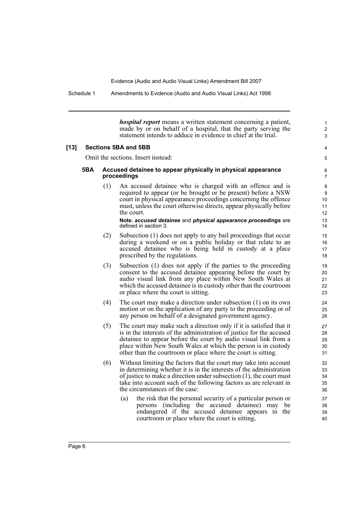Schedule 1 Amendments to Evidence (Audio and Audio Visual Links) Act 1998

*hospital report* means a written statement concerning a patient, made by or on behalf of a hospital, that the party serving the statement intends to adduce in evidence in chief at the trial.

1 2 3

4 5

### **[13] Sections 5BA and 5BB**

Omit the sections. Insert instead:

#### **5BA Accused detainee to appear physically in physical appearance proceedings**

(1) An accused detainee who is charged with an offence and is required to appear (or be brought or be present) before a NSW court in physical appearance proceedings concerning the offence must, unless the court otherwise directs, appear physically before the court.

#### **Note.** *accused detainee* and *physical appearance proceedings* are defined in section 3.

- (2) Subsection (1) does not apply to any bail proceedings that occur during a weekend or on a public holiday or that relate to an accused detainee who is being held in custody at a place prescribed by the regulations.
- (3) Subsection (1) does not apply if the parties to the proceeding consent to the accused detainee appearing before the court by audio visual link from any place within New South Wales at which the accused detainee is in custody other than the courtroom or place where the court is sitting.
- (4) The court may make a direction under subsection (1) on its own motion or on the application of any party to the proceeding or of any person on behalf of a designated government agency.
- (5) The court may make such a direction only if it is satisfied that it is in the interests of the administration of justice for the accused detainee to appear before the court by audio visual link from a place within New South Wales at which the person is in custody other than the courtroom or place where the court is sitting.
- (6) Without limiting the factors that the court may take into account in determining whether it is in the interests of the administration of justice to make a direction under subsection (1), the court must take into account such of the following factors as are relevant in the circumstances of the case:
	- (a) the risk that the personal security of a particular person or persons (including the accused detainee) may be endangered if the accused detainee appears in the courtroom or place where the court is sitting,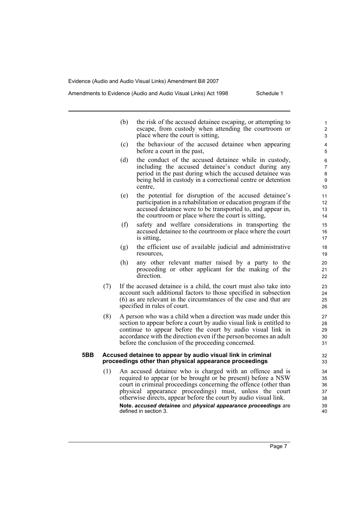Amendments to Evidence (Audio and Audio Visual Links) Act 1998 Schedule 1

(b) the risk of the accused detainee escaping, or attempting to escape, from custody when attending the courtroom or place where the court is sitting, (c) the behaviour of the accused detainee when appearing before a court in the past, (d) the conduct of the accused detainee while in custody, including the accused detainee's conduct during any period in the past during which the accused detainee was being held in custody in a correctional centre or detention centre, (e) the potential for disruption of the accused detainee's participation in a rehabilitation or education program if the accused detainee were to be transported to, and appear in, the courtroom or place where the court is sitting, (f) safety and welfare considerations in transporting the accused detainee to the courtroom or place where the court is sitting, (g) the efficient use of available judicial and administrative resources, (h) any other relevant matter raised by a party to the proceeding or other applicant for the making of the direction. (7) If the accused detainee is a child, the court must also take into account such additional factors to those specified in subsection (6) as are relevant in the circumstances of the case and that are specified in rules of court. (8) A person who was a child when a direction was made under this section to appear before a court by audio visual link is entitled to continue to appear before the court by audio visual link in accordance with the direction even if the person becomes an adult before the conclusion of the proceeding concerned.

#### **5BB Accused detainee to appear by audio visual link in criminal**  proceedings other than physical appearance proceedings

(1) An accused detainee who is charged with an offence and is required to appear (or be brought or be present) before a NSW court in criminal proceedings concerning the offence (other than physical appearance proceedings) must, unless the court otherwise directs, appear before the court by audio visual link. **Note.** *accused detainee* and *physical appearance proceedings* are defined in section 3.

Page 7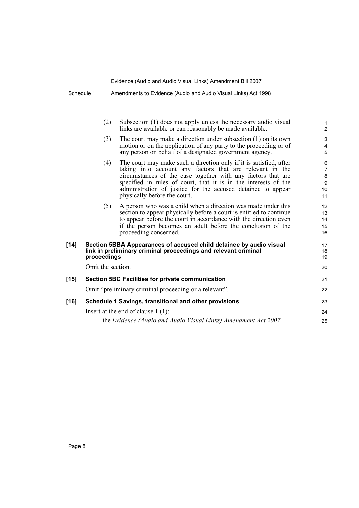|        | (2)               | Subsection (1) does not apply unless the necessary audio visual<br>links are available or can reasonably be made available.                                                                                                                                                                                                                                       | 1<br>2                                    |
|--------|-------------------|-------------------------------------------------------------------------------------------------------------------------------------------------------------------------------------------------------------------------------------------------------------------------------------------------------------------------------------------------------------------|-------------------------------------------|
|        | (3)               | The court may make a direction under subsection $(1)$ on its own<br>motion or on the application of any party to the proceeding or of<br>any person on behalf of a designated government agency.                                                                                                                                                                  | 3<br>$\overline{4}$<br>5                  |
|        | (4)               | The court may make such a direction only if it is satisfied, after<br>taking into account any factors that are relevant in the<br>circumstances of the case together with any factors that are<br>specified in rules of court, that it is in the interests of the<br>administration of justice for the accused detainee to appear<br>physically before the court. | 6<br>$\overline{7}$<br>8<br>9<br>10<br>11 |
|        | (5)               | A person who was a child when a direction was made under this<br>section to appear physically before a court is entitled to continue<br>to appear before the court in accordance with the direction even<br>if the person becomes an adult before the conclusion of the<br>proceeding concerned.                                                                  | 12<br>13<br>14<br>15<br>16                |
| $[14]$ | proceedings       | Section 5BBA Appearances of accused child detainee by audio visual<br>link in preliminary criminal proceedings and relevant criminal                                                                                                                                                                                                                              | 17<br>18<br>19                            |
|        | Omit the section. |                                                                                                                                                                                                                                                                                                                                                                   | 20                                        |
| [15]   |                   | <b>Section 5BC Facilities for private communication</b>                                                                                                                                                                                                                                                                                                           | 21                                        |
|        |                   | Omit "preliminary criminal proceeding or a relevant".                                                                                                                                                                                                                                                                                                             | 22                                        |
| [16]   |                   | Schedule 1 Savings, transitional and other provisions                                                                                                                                                                                                                                                                                                             | 23                                        |
|        |                   | Insert at the end of clause $1(1)$ :                                                                                                                                                                                                                                                                                                                              | 24                                        |
|        |                   | the Evidence (Audio and Audio Visual Links) Amendment Act 2007                                                                                                                                                                                                                                                                                                    | 25                                        |